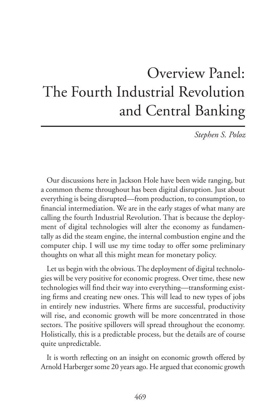## Overview Panel: The Fourth Industrial Revolution and Central Banking

*Stephen S. Poloz*

Our discussions here in Jackson Hole have been wide ranging, but a common theme throughout has been digital disruption. Just about everything is being disrupted—from production, to consumption, to financial intermediation. We are in the early stages of what many are calling the fourth Industrial Revolution. That is because the deployment of digital technologies will alter the economy as fundamentally as did the steam engine, the internal combustion engine and the computer chip. I will use my time today to offer some preliminary thoughts on what all this might mean for monetary policy.

Let us begin with the obvious. The deployment of digital technologies will be very positive for economic progress. Over time, these new technologies will find their way into everything—transforming existing firms and creating new ones. This will lead to new types of jobs in entirely new industries. Where firms are successful, productivity will rise, and economic growth will be more concentrated in those sectors. The positive spillovers will spread throughout the economy. Holistically, this is a predictable process, but the details are of course quite unpredictable.

It is worth reflecting on an insight on economic growth offered by Arnold Harberger some 20 years ago. He argued that economic growth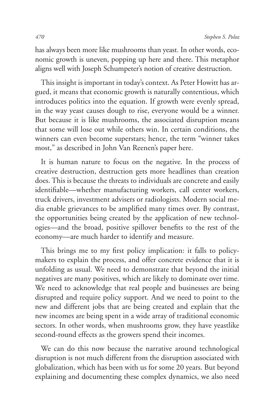has always been more like mushrooms than yeast. In other words, economic growth is uneven, popping up here and there. This metaphor aligns well with Joseph Schumpeter's notion of creative destruction.

This insight is important in today's context. As Peter Howitt has argued, it means that economic growth is naturally contentious, which introduces politics into the equation. If growth were evenly spread, in the way yeast causes dough to rise, everyone would be a winner. But because it is like mushrooms, the associated disruption means that some will lose out while others win. In certain conditions, the winners can even become superstars; hence, the term "winner takes most," as described in John Van Reenen's paper here.

It is human nature to focus on the negative. In the process of creative destruction, destruction gets more headlines than creation does. This is because the threats to individuals are concrete and easily identifiable—whether manufacturing workers, call center workers, truck drivers, investment advisers or radiologists. Modern social media enable grievances to be amplified many times over. By contrast, the opportunities being created by the application of new technologies—and the broad, positive spillover benefits to the rest of the economy—are much harder to identify and measure.

This brings me to my first policy implication: it falls to policymakers to explain the process, and offer concrete evidence that it is unfolding as usual. We need to demonstrate that beyond the initial negatives are many positives, which are likely to dominate over time. We need to acknowledge that real people and businesses are being disrupted and require policy support. And we need to point to the new and different jobs that are being created and explain that the new incomes are being spent in a wide array of traditional economic sectors. In other words, when mushrooms grow, they have yeastlike second-round effects as the growers spend their incomes.

We can do this now because the narrative around technological disruption is not much different from the disruption associated with globalization, which has been with us for some 20 years. But beyond explaining and documenting these complex dynamics, we also need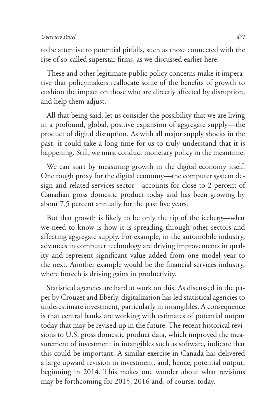to be attentive to potential pitfalls, such as those connected with the rise of so-called superstar firms, as we discussed earlier here.

These and other legitimate public policy concerns make it imperative that policymakers reallocate some of the benefits of growth to cushion the impact on those who are directly affected by disruption, and help them adjust.

All that being said, let us consider the possibility that we are living in a profound, global, positive expansion of aggregate supply—the product of digital disruption. As with all major supply shocks in the past, it could take a long time for us to truly understand that it is happening. Still, we must conduct monetary policy in the meantime.

We can start by measuring growth in the digital economy itself. One rough proxy for the digital economy—the computer system design and related services sector—accounts for close to 2 percent of Canadian gross domestic product today and has been growing by about 7.5 percent annually for the past five years.

But that growth is likely to be only the tip of the iceberg—what we need to know is how it is spreading through other sectors and affecting aggregate supply. For example, in the automobile industry, advances in computer technology are driving improvements in quality and represent significant value added from one model year to the next. Another example would be the financial services industry, where fintech is driving gains in productivity.

Statistical agencies are hard at work on this. As discussed in the paper by Crouzet and Eberly, digitalization has led statistical agencies to underestimate investment, particularly in intangibles. A consequence is that central banks are working with estimates of potential output today that may be revised up in the future. The recent historical revisions to U.S. gross domestic product data, which improved the measurement of investment in intangibles such as software, indicate that this could be important. A similar exercise in Canada has delivered a large upward revision in investment, and, hence, potential output, beginning in 2014. This makes one wonder about what revisions may be forthcoming for 2015, 2016 and, of course, today.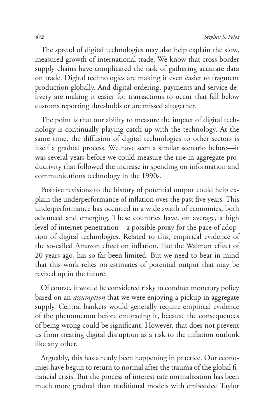The spread of digital technologies may also help explain the slow, measured growth of international trade. We know that cross-border supply chains have complicated the task of gathering accurate data on trade. Digital technologies are making it even easier to fragment production globally. And digital ordering, payments and service delivery are making it easier for transactions to occur that fall below customs reporting thresholds or are missed altogether.

The point is that our ability to measure the impact of digital technology is continually playing catch-up with the technology. At the same time, the diffusion of digital technologies to other sectors is itself a gradual process. We have seen a similar scenario before—it was several years before we could measure the rise in aggregate productivity that followed the increase in spending on information and communications technology in the 1990s.

Positive revisions to the history of potential output could help explain the underperformance of inflation over the past five years. This underperformance has occurred in a wide swath of economies, both advanced and emerging. These countries have, on average, a high level of internet penetration—a possible proxy for the pace of adoption of digital technologies. Related to this, empirical evidence of the so-called Amazon effect on inflation, like the Walmart effect of 20 years ago, has so far been limited. But we need to bear in mind that this work relies on estimates of potential output that may be revised up in the future.

Of course, it would be considered risky to conduct monetary policy based on an *assumption* that we were enjoying a pickup in aggregate supply. Central bankers would generally require empirical evidence of the phenomenon before embracing it, because the consequences of being wrong could be significant. However, that does not prevent us from treating digital disruption as a risk to the inflation outlook like any other.

Arguably, this has already been happening in practice. Our economies have begun to return to normal after the trauma of the global financial crisis. But the process of interest rate normalization has been much more gradual than traditional models with embedded Taylor